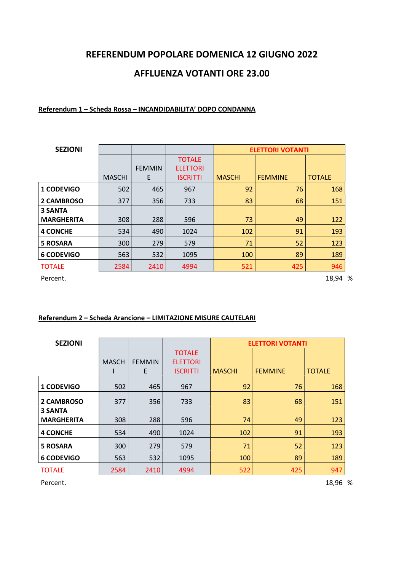## REFERENDUM POPOLARE DOMENICA 12 GIUGNO 2022

# AFFLUENZA VOTANTI ORE 23.00

#### Referendum 1 – Scheda Rossa – INCANDIDABILITA' DOPO CONDANNA

| <b>SEZIONI</b>    |               |               |                 | <b>ELETTORI VOTANTI</b> |                |               |  |
|-------------------|---------------|---------------|-----------------|-------------------------|----------------|---------------|--|
|                   |               |               | <b>TOTALE</b>   |                         |                |               |  |
|                   |               | <b>FEMMIN</b> | <b>ELETTORI</b> |                         |                |               |  |
|                   | <b>MASCHI</b> | E             | <b>ISCRITTI</b> | <b>MASCHI</b>           | <b>FEMMINE</b> | <b>TOTALE</b> |  |
| <b>1 CODEVIGO</b> | 502           | 465           | 967             | 92                      | 76             | 168           |  |
| 2 CAMBROSO        | 377           | 356           | 733             | 83                      | 68             | 151           |  |
| <b>3 SANTA</b>    |               |               |                 |                         |                |               |  |
| <b>MARGHERITA</b> | 308           | 288           | 596             | 73                      | 49             | 122           |  |
| <b>4 CONCHE</b>   | 534           | 490           | 1024            | 102                     | 91             | 193           |  |
| <b>5 ROSARA</b>   | 300           | 279           | 579             | 71                      | 52             | 123           |  |
| <b>6 CODEVIGO</b> | 563           | 532           | 1095            | 100                     | 89             | 189           |  |
| <b>TOTALE</b>     | 2584          | 2410          | 4994            | 521                     | 425            | 946           |  |

Percent. 28,94 %

#### Referendum 2 – Scheda Arancione – LIMITAZIONE MISURE CAUTELARI

| <b>SEZIONI</b>    |              |               |                 |               | <b>ELETTORI VOTANTI</b> |               |
|-------------------|--------------|---------------|-----------------|---------------|-------------------------|---------------|
|                   |              |               | <b>TOTALE</b>   |               |                         |               |
|                   | <b>MASCH</b> | <b>FEMMIN</b> | <b>ELETTORI</b> |               |                         |               |
|                   |              | E             | <b>ISCRITTI</b> | <b>MASCHI</b> | <b>FEMMINE</b>          | <b>TOTALE</b> |
| <b>1 CODEVIGO</b> | 502          | 465           | 967             | 92            | 76                      | 168           |
| 2 CAMBROSO        | 377          | 356           | 733             | 83            | 68                      | 151           |
| <b>3 SANTA</b>    |              |               |                 |               |                         |               |
| <b>MARGHERITA</b> | 308          | 288           | 596             | 74            | 49                      | 123           |
| <b>4 CONCHE</b>   | 534          | 490           | 1024            | 102           | 91                      | 193           |
| <b>5 ROSARA</b>   | 300          | 279           | 579             | 71            | 52                      | 123           |
| <b>6 CODEVIGO</b> | 563          | 532           | 1095            | 100           | 89                      | 189           |
| <b>TOTALE</b>     | 2584         | 2410          | 4994            | 522           | 425                     | 947           |

Percent. 28,96 %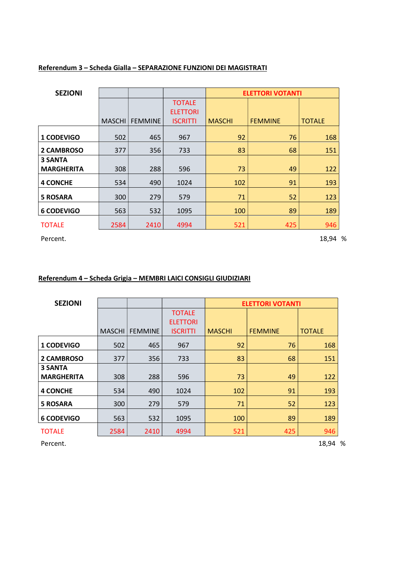| <b>SEZIONI</b>                      |        |                |                 |               | <b>ELETTORI VOTANTI</b> |               |
|-------------------------------------|--------|----------------|-----------------|---------------|-------------------------|---------------|
|                                     |        |                | <b>TOTALE</b>   |               |                         |               |
|                                     |        |                | <b>ELETTORI</b> |               |                         |               |
|                                     | MASCHI | <b>FEMMINE</b> | <b>ISCRITTI</b> | <b>MASCHI</b> | <b>FEMMINE</b>          | <b>TOTALE</b> |
| 1 CODEVIGO                          | 502    | 465            | 967             | 92            | 76                      | 168           |
| 2 CAMBROSO                          | 377    | 356            | 733             | 83            | 68                      | 151           |
| <b>3 SANTA</b><br><b>MARGHERITA</b> | 308    | 288            | 596             | 73            | 49                      | 122           |
| <b>4 CONCHE</b>                     | 534    | 490            | 1024            | 102           | 91                      | 193           |
| <b>5 ROSARA</b>                     | 300    | 279            | 579             | 71            | 52                      | 123           |
| <b>6 CODEVIGO</b>                   | 563    | 532            | 1095            | 100           | 89                      | 189           |
| <b>TOTALE</b>                       | 2584   | 2410           | 4994            | 521           | 425                     | 946           |

### Referendum 3 – Scheda Gialla – SEPARAZIONE FUNZIONI DEI MAGISTRATI

Percent. 28,94 %

## Referendum 4 – Scheda Grigia – MEMBRI LAICI CONSIGLI GIUDIZIARI

| <b>SEZIONI</b>                      |               |                |                 | <b>ELETTORI VOTANTI</b> |                |               |
|-------------------------------------|---------------|----------------|-----------------|-------------------------|----------------|---------------|
|                                     |               |                | <b>TOTALE</b>   |                         |                |               |
|                                     |               |                | <b>ELETTORI</b> |                         |                |               |
|                                     | <b>MASCHI</b> | <b>FEMMINE</b> | <b>ISCRITTI</b> | <b>MASCHI</b>           | <b>FEMMINE</b> | <b>TOTALE</b> |
| <b>1 CODEVIGO</b>                   | 502           | 465            | 967             | 92                      | 76             | 168           |
| 2 CAMBROSO                          | 377           | 356            | 733             | 83                      | 68             | 151           |
| <b>3 SANTA</b><br><b>MARGHERITA</b> | 308           | 288            | 596             | 73                      | 49             | 122           |
| <b>4 CONCHE</b>                     | 534           | 490            | 1024            | 102                     | 91             | 193           |
| <b>5 ROSARA</b>                     | 300           | 279            | 579             | 71                      | 52             | 123           |
| <b>6 CODEVIGO</b>                   | 563           | 532            | 1095            | 100                     | 89             | 189           |
| <b>TOTALE</b>                       | 2584          | 2410           | 4994            | 521                     | 425            | 946           |

Percent. 28,94 %